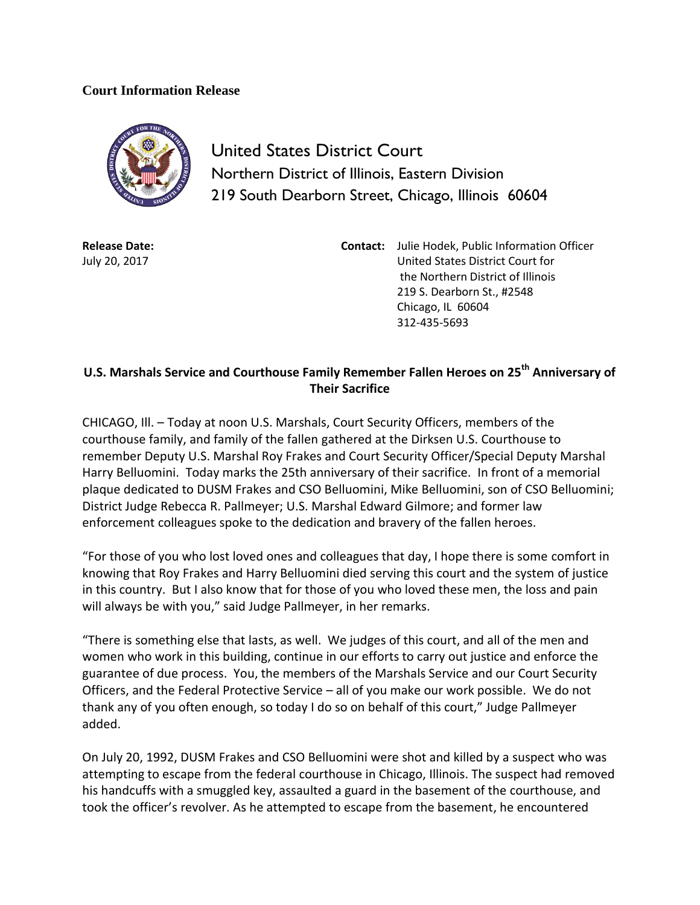## **Court Information Release**



United States District Court Northern District of Illinois, Eastern Division 219 South Dearborn Street, Chicago, Illinois 60604

**Release Date:** July 20, 2017

**Contact:** Julie Hodek, Public Information Officer United States District Court for the Northern District of Illinois 219 S. Dearborn St., #2548 Chicago, IL 60604 312-435-5693

## **U.S. Marshals Service and Courthouse Family Remember Fallen Heroes on 25th Anniversary of Their Sacrifice**

CHICAGO, Ill. – Today at noon U.S. Marshals, Court Security Officers, members of the courthouse family, and family of the fallen gathered at the Dirksen U.S. Courthouse to remember Deputy U.S. Marshal Roy Frakes and Court Security Officer/Special Deputy Marshal Harry Belluomini. Today marks the 25th anniversary of their sacrifice. In front of a memorial plaque dedicated to DUSM Frakes and CSO Belluomini, Mike Belluomini, son of CSO Belluomini; District Judge Rebecca R. Pallmeyer; U.S. Marshal Edward Gilmore; and former law enforcement colleagues spoke to the dedication and bravery of the fallen heroes.

"For those of you who lost loved ones and colleagues that day, I hope there is some comfort in knowing that Roy Frakes and Harry Belluomini died serving this court and the system of justice in this country. But I also know that for those of you who loved these men, the loss and pain will always be with you," said Judge Pallmeyer, in her remarks.

"There is something else that lasts, as well. We judges of this court, and all of the men and women who work in this building, continue in our efforts to carry out justice and enforce the guarantee of due process. You, the members of the Marshals Service and our Court Security Officers, and the Federal Protective Service – all of you make our work possible. We do not thank any of you often enough, so today I do so on behalf of this court," Judge Pallmeyer added.

On July 20, 1992, DUSM Frakes and CSO Belluomini were shot and killed by a suspect who was attempting to escape from the federal courthouse in Chicago, Illinois. The suspect had removed his handcuffs with a smuggled key, assaulted a guard in the basement of the courthouse, and took the officer's revolver. As he attempted to escape from the basement, he encountered